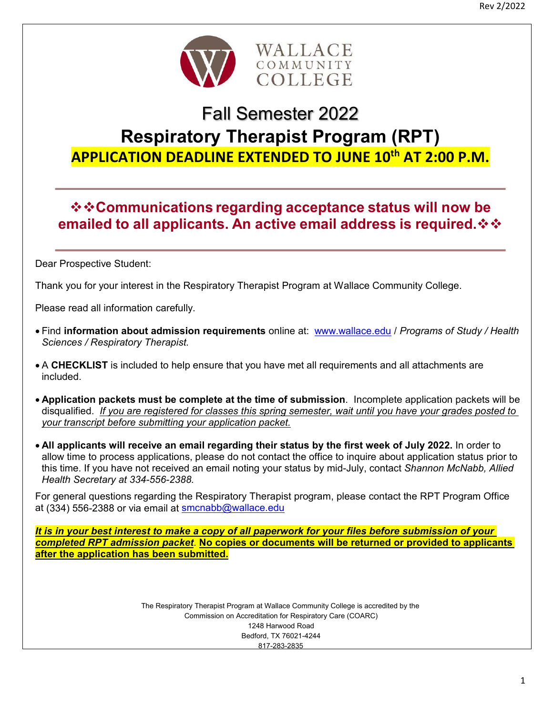

## Fall Semester 2022

# **Respiratory Therapist Program (RPT) APPLICATION DEADLINE EXTENDED TO JUNE 10th AT 2:00 P.M.**

## **☆☆Communications regarding acceptance status will now be emailed to all applicants. An active email address is required.**

Dear Prospective Student:

Thank you for your interest in the Respiratory Therapist Program at Wallace Community College.

Please read all information carefully.

- Find **information about admission requirements** online at: www.wallace.edu / *Programs of Study / Health Sciences / Respiratory Therapist.*
- A **CHECKLIST** is included to help ensure that you have met all requirements and all attachments are included.
- **Application packets must be complete at the time of submission**. Incomplete application packets will be disqualified. *If you are registered for classes this spring semester, wait until you have your grades posted to your transcript before submitting your application packet.*
- **All applicants will receive an email regarding their status by the first week of July 2022.** In order to allow time to process applications, please do not contact the office to inquire about application status prior to this time. If you have not received an email noting your status by mid-July, contact *Shannon McNabb, Allied Health Secretary at 334-556-2388.*

For general questions regarding the Respiratory Therapist program, please contact the RPT Program Office at (334) 556-2388 or via email at smcnabb@wallace.edu

*It is in your best interest to make a copy of all paperwork for your files before submission of your completed RPT admission packet*. **No copies or documents will be returned or provided to applicants after the application has been submitted.** 

> The Respiratory Therapist Program at Wallace Community College is accredited by the Commission on Accreditation for Respiratory Care (COARC) 1248 Harwood Road Bedford, TX 76021-4244 817-283-2835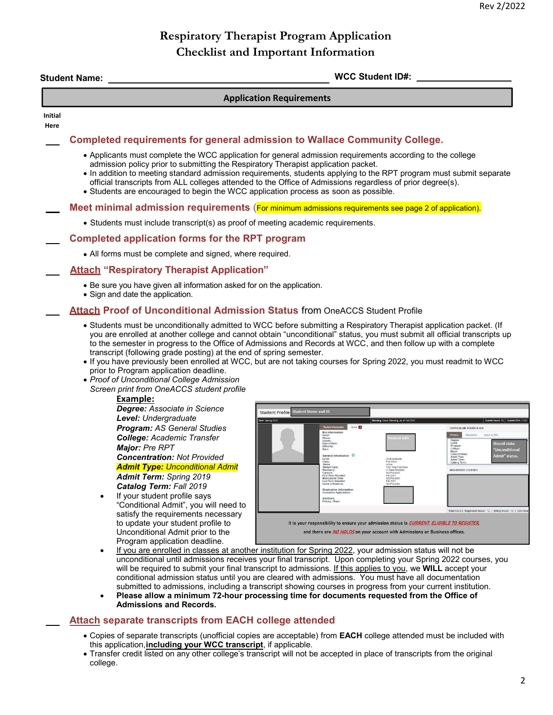### **Respiratory Therapist Program Application Checklist and Important Information**

|                                                                                                            | <b>WCC Student ID#:</b><br><b>Student Name:</b>                                                                                                                                                                                                                                                                                                                                                                                                                                                                                                                                                                                                                                                                                                                                                                                                                                                                                                                                                                                                                                                                                                                                                                                                                           |  |  |  |
|------------------------------------------------------------------------------------------------------------|---------------------------------------------------------------------------------------------------------------------------------------------------------------------------------------------------------------------------------------------------------------------------------------------------------------------------------------------------------------------------------------------------------------------------------------------------------------------------------------------------------------------------------------------------------------------------------------------------------------------------------------------------------------------------------------------------------------------------------------------------------------------------------------------------------------------------------------------------------------------------------------------------------------------------------------------------------------------------------------------------------------------------------------------------------------------------------------------------------------------------------------------------------------------------------------------------------------------------------------------------------------------------|--|--|--|
|                                                                                                            | <b>Application Requirements</b>                                                                                                                                                                                                                                                                                                                                                                                                                                                                                                                                                                                                                                                                                                                                                                                                                                                                                                                                                                                                                                                                                                                                                                                                                                           |  |  |  |
|                                                                                                            |                                                                                                                                                                                                                                                                                                                                                                                                                                                                                                                                                                                                                                                                                                                                                                                                                                                                                                                                                                                                                                                                                                                                                                                                                                                                           |  |  |  |
|                                                                                                            | Completed requirements for general admission to Wallace Community College.                                                                                                                                                                                                                                                                                                                                                                                                                                                                                                                                                                                                                                                                                                                                                                                                                                                                                                                                                                                                                                                                                                                                                                                                |  |  |  |
|                                                                                                            | • Applicants must complete the WCC application for general admission requirements according to the college<br>admission policy prior to submitting the Respiratory Therapist application packet.<br>• In addition to meeting standard admission requirements, students applying to the RPT program must submit separate<br>official transcripts from ALL colleges attended to the Office of Admissions regardless of prior degree(s).<br>• Students are encouraged to begin the WCC application process as soon as possible.                                                                                                                                                                                                                                                                                                                                                                                                                                                                                                                                                                                                                                                                                                                                              |  |  |  |
|                                                                                                            | Meet minimal admission requirements (For minimum admissions requirements see page 2 of application).                                                                                                                                                                                                                                                                                                                                                                                                                                                                                                                                                                                                                                                                                                                                                                                                                                                                                                                                                                                                                                                                                                                                                                      |  |  |  |
|                                                                                                            | • Students must include transcript(s) as proof of meeting academic requirements.                                                                                                                                                                                                                                                                                                                                                                                                                                                                                                                                                                                                                                                                                                                                                                                                                                                                                                                                                                                                                                                                                                                                                                                          |  |  |  |
|                                                                                                            | Completed application forms for the RPT program                                                                                                                                                                                                                                                                                                                                                                                                                                                                                                                                                                                                                                                                                                                                                                                                                                                                                                                                                                                                                                                                                                                                                                                                                           |  |  |  |
|                                                                                                            | • All forms must be complete and signed, where required.                                                                                                                                                                                                                                                                                                                                                                                                                                                                                                                                                                                                                                                                                                                                                                                                                                                                                                                                                                                                                                                                                                                                                                                                                  |  |  |  |
| <b>Attach "Respiratory Therapist Application"</b>                                                          |                                                                                                                                                                                                                                                                                                                                                                                                                                                                                                                                                                                                                                                                                                                                                                                                                                                                                                                                                                                                                                                                                                                                                                                                                                                                           |  |  |  |
| • Be sure you have given all information asked for on the application.<br>• Sign and date the application. |                                                                                                                                                                                                                                                                                                                                                                                                                                                                                                                                                                                                                                                                                                                                                                                                                                                                                                                                                                                                                                                                                                                                                                                                                                                                           |  |  |  |
|                                                                                                            | <b>Attach Proof of Unconditional Admission Status from OneACCS Student Profile</b>                                                                                                                                                                                                                                                                                                                                                                                                                                                                                                                                                                                                                                                                                                                                                                                                                                                                                                                                                                                                                                                                                                                                                                                        |  |  |  |
| $\bullet$                                                                                                  | transcript (following grade posting) at the end of spring semester.<br>. If you have previously been enrolled at WCC, but are not taking courses for Spring 2022, you must readmit to WCC<br>prior to Program application deadline.<br>• Proof of Unconditional College Admission<br>Screen print from OneACCS student profile<br>Example:<br>Degree: Associate in Science<br><b>Student Name and ID</b><br><b>Student Profile</b><br>Level: Undergraduate<br><b>Program: AS General Studies</b><br><b>College: Academic Transfer</b><br>Should state<br>Date of Birth<br>Major: Pre RPT<br>Ethnicity:<br>'Unconditional<br>Concentrati<br>Admit Type:<br>Admit Term<br>Admit" status.<br><b>Concentration: Not Provided</b><br>General Information<br>Catalog Term<br>Admit Type: Unconditional Admit<br>list Time Fres<br>Campus:<br>First Term Attended:<br>Matriculated Term:<br>Last Term Attended:<br>Leave of Absence:<br><b>Admit Term: Spring 2019</b><br>Catalog Term: Fall 2019<br><b>Graduation Information</b><br><b>Graduation Applica</b><br>If your student profile says<br>Advisors<br>Primary / Major<br>"Conditional Admit", you will need to<br>Total Hours   Registered Hours: 12   Billing Hours: 12   CEU Ho<br>satisfy the requirements necessary |  |  |  |

- Copies of separate transcripts (unofficial copies are acceptable) from **EACH** college attended must be included with this application, **including your WCC transcript**, if applicable.
- Transfer credit listed on any other college's transcript will not be accepted in place of transcripts from the original college.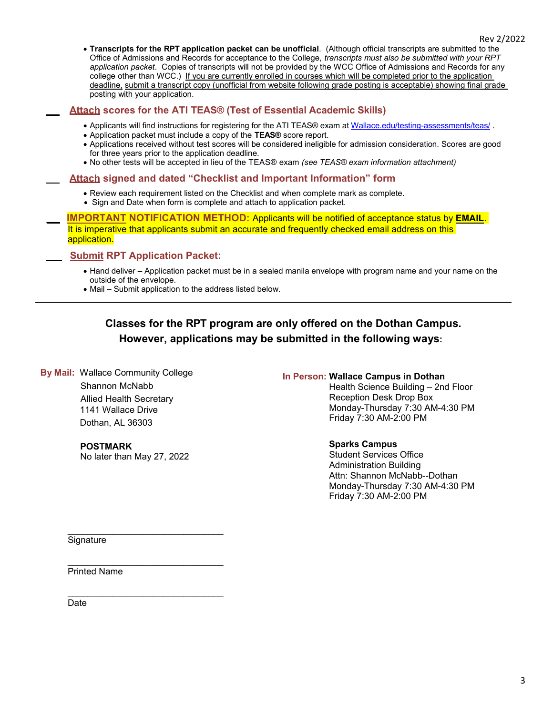**Transcripts for the RPT application packet can be unofficial**. (Although official transcripts are submitted to the Office of Admissions and Records for acceptance to the College, *transcripts must also be submitted with your RPT application packet*. Copies of transcripts will not be provided by the WCC Office of Admissions and Records for any college other than WCC.) If you are currently enrolled in courses which will be completed prior to the application deadline, submit a transcript copy (unofficial from website following grade posting is acceptable) showing final grade posting with your application.

### **Attach scores for the ATI TEAS® (Test of Essential Academic Skills)**

- Applicants will find instructions for registering for the ATI TEAS® exam at Wallace.edu/testing-assessments/teas/ .
- Application packet must include a copy of the **TEAS®** score report.
- Applications received without test scores will be considered ineligible for admission consideration. Scores are good for three years prior to the application deadline.
- No other tests will be accepted in lieu of the TEAS® exam *(see TEAS® exam information attachment)*

### **Attach signed and dated "Checklist and Important Information" form**

- Review each requirement listed on the Checklist and when complete mark as complete.
- Sign and Date when form is complete and attach to application packet.

**IMPORTANT NOTIFICATION METHOD:** Applicants will be notified of acceptance status by **EMAIL**. It is imperative that applicants submit an accurate and frequently checked email address on this application.

### **Submit RPT Application Packet:**

- Hand deliver Application packet must be in a sealed manila envelope with program name and your name on the outside of the envelope.
- Mail Submit application to the address listed below.

### **Classes for the RPT program are only offered on the Dothan Campus. However, applications may be submitted in the following ways:**

 **By Mail:** Wallace Community College Shannon McNabb Allied Health Secretary 1141 Wallace Drive Dothan, AL 36303

> **POSTMARK**  No later than May 27, 2022

\_\_\_\_\_\_\_\_\_\_\_\_\_\_\_\_\_\_\_\_\_\_\_\_\_\_\_\_\_\_\_

\_\_\_\_\_\_\_\_\_\_\_\_\_\_\_\_\_\_\_\_\_\_\_\_\_\_\_\_\_\_\_

 $\overline{\phantom{a}}$  , and the set of the set of the set of the set of the set of the set of the set of the set of the set of the set of the set of the set of the set of the set of the set of the set of the set of the set of the s

### **In Person: Wallace Campus in Dothan**

 Health Science Building – 2nd Floor Reception Desk Drop Box Monday-Thursday 7:30 AM-4:30 PM Friday 7:30 AM-2:00 PM

### **Sparks Campus**

 Student Services Office Administration Building Attn: Shannon McNabb--Dothan Monday-Thursday 7:30 AM-4:30 PM Friday 7:30 AM-2:00 PM

**Signature** 

L

Printed Name

Date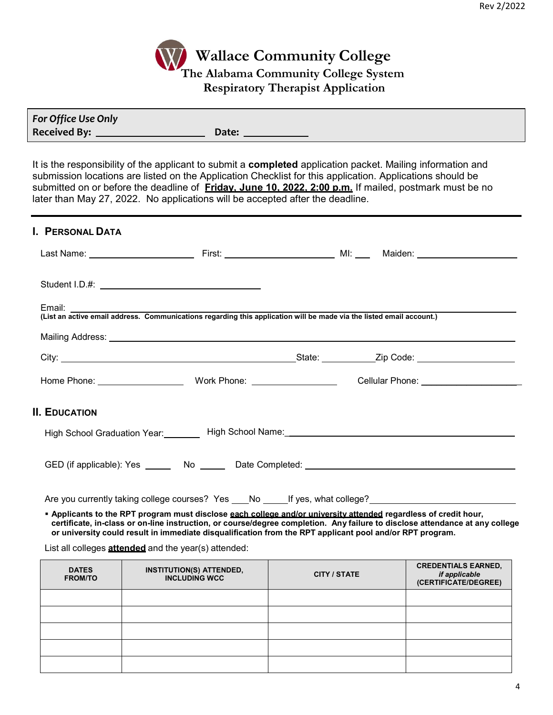

| For Office Use Only |       |
|---------------------|-------|
| <b>Received By:</b> | Date: |

It is the responsibility of the applicant to submit a **completed** application packet. Mailing information and submission locations are listed on the Application Checklist for this application. Applications should be submitted on or before the deadline of **Friday, June 10, 2022, 2:00 p.m.** If mailed, postmark must be no later than May 27, 2022. No applications will be accepted after the deadline.

| I. PERSONAL DATA     |                                                                                                                                |                                                                                                                |  |
|----------------------|--------------------------------------------------------------------------------------------------------------------------------|----------------------------------------------------------------------------------------------------------------|--|
|                      |                                                                                                                                |                                                                                                                |  |
|                      |                                                                                                                                |                                                                                                                |  |
|                      | Email:<br>(List an active email address. Communications regarding this application will be made via the listed email account.) |                                                                                                                |  |
|                      |                                                                                                                                |                                                                                                                |  |
|                      |                                                                                                                                |                                                                                                                |  |
|                      |                                                                                                                                | Cellular Phone: _____________________                                                                          |  |
| <b>II. EDUCATION</b> |                                                                                                                                |                                                                                                                |  |
|                      |                                                                                                                                | High School Graduation Year: High School Name: 1988 Manne: 1988 Manne Manne Manne Manne Manne Manne Manne Mann |  |
|                      |                                                                                                                                |                                                                                                                |  |

Are you currently taking college courses? Yes \_\_\_No \_\_\_\_\_If yes, what college?

 **Applicants to the RPT program must disclose each college and/or university attended regardless of credit hour, certificate, in-class or on-line instruction, or course/degree completion. Any failure to disclose attendance at any college or university could result in immediate disqualification from the RPT applicant pool and/or RPT program.**

List all colleges **attended** and the year(s) attended:

| <b>DATES</b><br><b>FROM/TO</b> | <b>INSTITUTION(S) ATTENDED,</b><br><b>INCLUDING WCC</b> | <b>CITY / STATE</b> | <b>CREDENTIALS EARNED,</b><br>if applicable<br>(CERTIFICATE/DEGREE) |
|--------------------------------|---------------------------------------------------------|---------------------|---------------------------------------------------------------------|
|                                |                                                         |                     |                                                                     |
|                                |                                                         |                     |                                                                     |
|                                |                                                         |                     |                                                                     |
|                                |                                                         |                     |                                                                     |
|                                |                                                         |                     |                                                                     |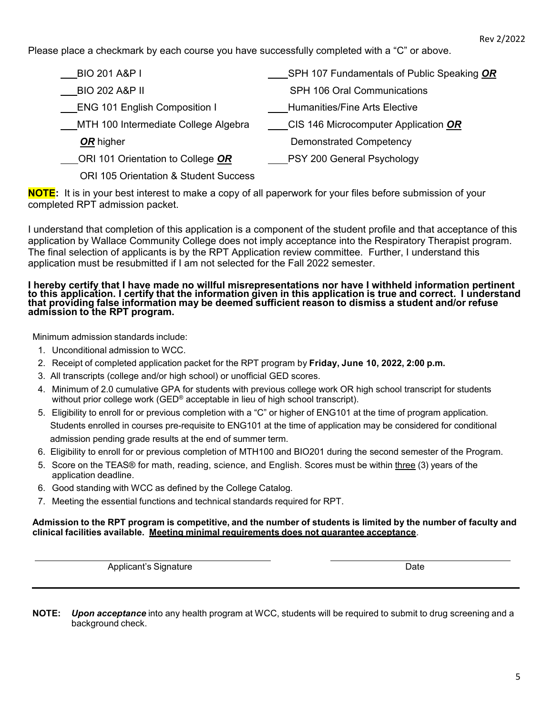Please place a checkmark by each course you have successfully completed with a "C" or above.

| __BIO 201 A&P I                       | SPH 107 Fundamentals of Public Speaking OR |
|---------------------------------------|--------------------------------------------|
| BIO 202 A&P II                        | <b>SPH 106 Oral Communications</b>         |
| <b>ENG 101 English Composition I</b>  | <b>Humanities/Fine Arts Elective</b>       |
| MTH 100 Intermediate College Algebra  | CIS 146 Microcomputer Application OR       |
| OR higher                             | <b>Demonstrated Competency</b>             |
| ORI 101 Orientation to College OR     | ___PSY 200 General Psychology              |
| ORL 105 Orientation & Student Success |                                            |

**NOTE:** It is in your best interest to make a copy of all paperwork for your files before submission of your completed RPT admission packet.

I understand that completion of this application is a component of the student profile and that acceptance of this application by Wallace Community College does not imply acceptance into the Respiratory Therapist program. The final selection of applicants is by the RPT Application review committee. Further, I understand this application must be resubmitted if I am not selected for the Fall 2022 semester.

#### **I hereby certify that I have made no willful misrepresentations nor have I withheld information pertinent to this application. I certify that the information given in this application is true and correct. I understand that providing false information may be deemed sufficient reason to dismiss a student and/or refuse admission to the RPT program.**

Minimum admission standards include:

- 1. Unconditional admission to WCC.
- 2. Receipt of completed application packet for the RPT program by **Friday, June 10, 2022, 2:00 p.m.**
- 3. All transcripts (college and/or high school) or unofficial GED scores.
- 4. Minimum of 2.0 cumulative GPA for students with previous college work OR high school transcript for students without prior college work (GED<sup>®</sup> acceptable in lieu of high school transcript).
- 5. Eligibility to enroll for or previous completion with a "C" or higher of ENG101 at the time of program application. Students enrolled in courses pre-requisite to ENG101 at the time of application may be considered for conditional admission pending grade results at the end of summer term.
- 6. Eligibility to enroll for or previous completion of MTH100 and BIO201 during the second semester of the Program.
- 5. Score on the TEAS® for math, reading, science, and English. Scores must be within three (3) years of the application deadline.
- 6. Good standing with WCC as defined by the College Catalog.
- 7. Meeting the essential functions and technical standards required for RPT.

### **Admission to the RPT program is competitive, and the number of students is limited by the number of faculty and clinical facilities available. Meeting minimal requirements does not guarantee acceptance**.

Applicant's Signature Date

**NOTE:** *Upon acceptance* into any health program at WCC, students will be required to submit to drug screening and a background check.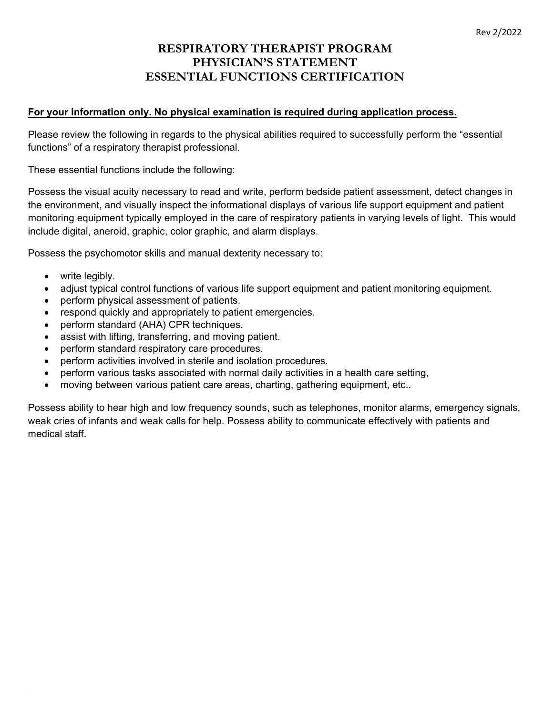### **RESPIRATORY THERAPIST PROGRAM PHYSICIAN'S STATEMENT ESSENTIAL FUNCTIONS CERTIFICATION**

### **For your information only. No physical examination is required during application process.**

Please review the following in regards to the physical abilities required to successfully perform the "essential functions" of a respiratory therapist professional.

These essential functions include the following:

Possess the visual acuity necessary to read and write, perform bedside patient assessment, detect changes in the environment, and visually inspect the informational displays of various life support equipment and patient monitoring equipment typically employed in the care of respiratory patients in varying levels of light. This would include digital, aneroid, graphic, color graphic, and alarm displays.

Possess the psychomotor skills and manual dexterity necessary to:

- write legibly.
- adjust typical control functions of various life support equipment and patient monitoring equipment.
- perform physical assessment of patients.
- respond quickly and appropriately to patient emergencies.
- perform standard (AHA) CPR techniques.
- assist with lifting, transferring, and moving patient.
- perform standard respiratory care procedures.
- perform activities involved in sterile and isolation procedures.
- perform various tasks associated with normal daily activities in a health care setting,
- moving between various patient care areas, charting, gathering equipment, etc..

Possess ability to hear high and low frequency sounds, such as telephones, monitor alarms, emergency signals, weak cries of infants and weak calls for help. Possess ability to communicate effectively with patients and medical staff.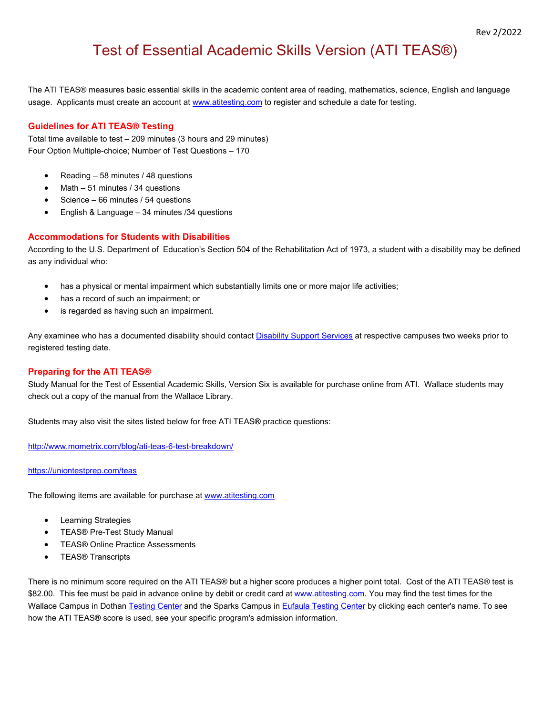## Test of Essential Academic Skills Version (ATI TEAS®)

The ATI TEAS® measures basic essential skills in the academic content area of reading, mathematics, science, English and language usage. Applicants must create an account at www.atitesting.com to register and schedule a date for testing.

### **Guidelines for ATI TEAS® Testing**

Total time available to test – 209 minutes (3 hours and 29 minutes) Four Option Multiple-choice; Number of Test Questions – 170

- Reading 58 minutes / 48 questions
- Math 51 minutes / 34 questions
- Science 66 minutes / 54 questions
- English & Language 34 minutes /34 questions

### **Accommodations for Students with Disabilities**

According to the U.S. Department of Education's Section 504 of the Rehabilitation Act of 1973, a student with a disability may be defined as any individual who:

- has a physical or mental impairment which substantially limits one or more major life activities;
- has a record of such an impairment; or
- is regarded as having such an impairment.

Any examinee who has a documented disability should contact Disability Support Services at respective campuses two weeks prior to registered testing date.

### **Preparing for the ATI TEAS®**

Study Manual for the Test of Essential Academic Skills, Version Six is available for purchase online from ATI. Wallace students may check out a copy of the manual from the Wallace Library.

Students may also visit the sites listed below for free ATI TEAS**®** practice questions:

http://www.mometrix.com/blog/ati-teas-6-test-breakdown/

#### https://uniontestprep.com/teas

The following items are available for purchase at www.atitesting.com

- **•** Learning Strategies
- TEAS® Pre-Test Study Manual
- **TEAS® Online Practice Assessments**
- **•** TEAS® Transcripts

There is no minimum score required on the ATI TEAS® but a higher score produces a higher point total. Cost of the ATI TEAS® test is \$82.00. This fee must be paid in advance online by debit or credit card at www.atitesting.com. You may find the test times for the Wallace Campus in Dothan Testing Center and the Sparks Campus in Eufaula Testing Center by clicking each center's name. To see how the ATI TEAS**®** score is used, see your specific program's admission information.